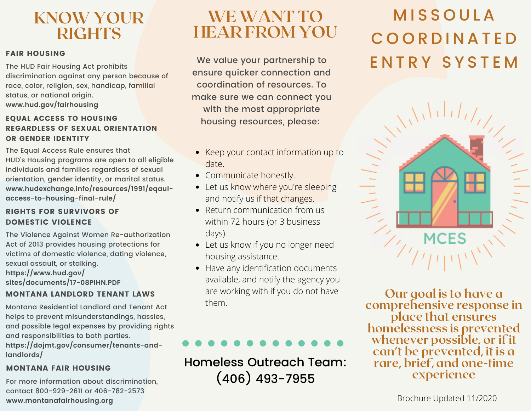## KNOW YOUR **RIGHTS**

### FAIR HOUSING

The HUD Fair Housing Act prohibits discrimination against any person because of race, color, religion, sex, handicap, familial status, or national origin. **www.hud.gov/fairhousing**

### EQUAL ACCESS TO HOUSING REGARDLESS OF SEXUAL ORIENTATION OR GENDER IDENTITY

The Equal Access Rule ensures that HUD's Housing programs are open to all eligible individuals and families regardless of sexual orientation, gender identity, or marital status. **www.hudexchange,info/resources/1991/eqaulaccess-to-housing-final-rule/**

### RIGHTS FOR SURVIVORS OF DOMESTIC VIOLENCE

The Violence Against Women Re-authorization Act of 2013 provides housing protections for victims of domestic violence, dating violence, sexual assault, or stalking. **https://www.hud.gov/ sites/documents/17-08PIHN.PDF**

### MONTANA LANDLORD TENANT LAWS

Montana Residential Landlord and Tenant Act helps to prevent misunderstandings, hassles, and possible legal expenses by providing rights and responsibilities to both parties. **https://dojmt.gov/consumer/tenants-andlandlords/**

### MONTANA FAIR HOUSING

For more information about discrimination, contact 800-929-2611 or 406-782-2573 **www.montanafairhousing.org**

## WE WANT TO HEAR FROM YOU

ensure quicker connection and coordination of resources. To make sure we can connect you with the most appropriate housing resources, please:

- Keep your contact information up to date.
- Communicate honestly.
- Let us know where you're sleeping and notify us if that changes.
- Return communication from us within 72 hours (or 3 business days).
- Let us know if you no longer need housing assistance.
- Have any identification documents available, and notify the agency you are working with if you do not have them.

Homeless Outreach Team: (406) 493-7955

# **MISSOULA** C O O R D I N A T E D We value your partnership to ENTRY SYSTEM



Our goal is to have a comprehensive response in place that ensures homelessness is prevented whenever possible, or if it can't be prevented, it is a rare, brief, and one-time experience

Brochure Updated 11/2020